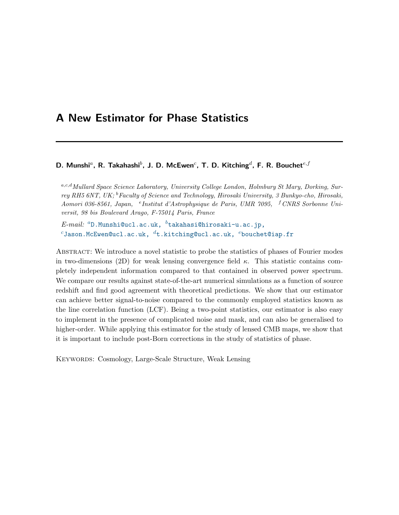# A New Estimator for Phase Statistics

# D. Munshi<sup>a</sup>, R. Takahashi<sup>b</sup>, J. D. McEwen<sup>c</sup>, T. D. Kitching<sup>d</sup>, F. R. Bouchet<sup>e, f</sup>

a,c,d Mullard Space Science Laboratory, University College London, Holmbury St Mary, Dorking, Surrey RH5 6NT, UK; <sup>b</sup>Faculty of Science and Technology, Hirosaki University, 3 Bunkyo-cho, Hirosaki, Aomori 036-8561, Japan, <sup>e</sup> Institut d'Astrophysique de Paris, UMR 7095, <sup>f</sup> CNRS Sorbonne Universit, 98 bis Boulevard Arago, F-75014 Paris, France

 $E$ - $mail:$   ${}^{a}$ D.Munshi@ucl.ac.uk,  ${}^{b}$ [takahasi@hirosaki-u.ac.jp,](mailto:$^a$D.Munshi@ucl.ac.uk, $^b$takahasi@hirosaki-u.ac.jp, $^c$Jason.McEwen@ucl.ac.uk, $^d$t.kitching@ucl.ac.uk, $^e$bouchet@iap.fr)  $c$ [Jason.McEwen@ucl.ac.uk,](mailto:$^a$D.Munshi@ucl.ac.uk, $^b$takahasi@hirosaki-u.ac.jp, $^c$Jason.McEwen@ucl.ac.uk, $^d$t.kitching@ucl.ac.uk, $^e$bouchet@iap.fr)  $d$ t.kitching@ucl.ac.uk,  $e$ bouchet@iap.fr

Abstract: We introduce a novel statistic to probe the statistics of phases of Fourier modes in two-dimensions (2D) for weak lensing convergence field  $\kappa$ . This statistic contains completely independent information compared to that contained in observed power spectrum. We compare our results against state-of-the-art numerical simulations as a function of source redshift and find good agreement with theoretical predictions. We show that our estimator can achieve better signal-to-noise compared to the commonly employed statistics known as the line correlation function (LCF). Being a two-point statistics, our estimator is also easy to implement in the presence of complicated noise and mask, and can also be generalised to higher-order. While applying this estimator for the study of lensed CMB maps, we show that it is important to include post-Born corrections in the study of statistics of phase.

Keywords: Cosmology, Large-Scale Structure, Weak Lensing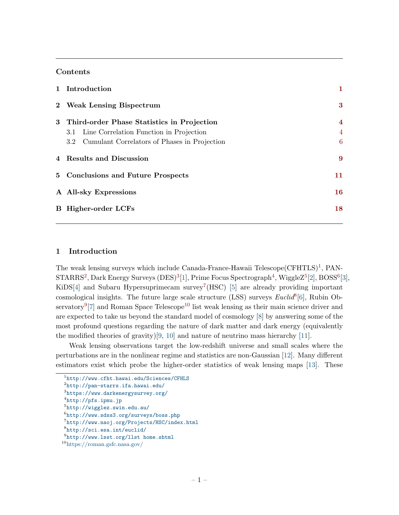# Contents

| 1 Introduction                                                                                                                                     |                                                |
|----------------------------------------------------------------------------------------------------------------------------------------------------|------------------------------------------------|
| 2 Weak Lensing Bispectrum                                                                                                                          | 3                                              |
| 3 Third-order Phase Statistics in Projection<br>Line Correlation Function in Projection<br>3.1<br>3.2 Cumulant Correlators of Phases in Projection | $\overline{\mathbf{4}}$<br>$\overline{4}$<br>6 |
| 4 Results and Discussion                                                                                                                           | 9                                              |
| 5 Conclusions and Future Prospects                                                                                                                 | 11                                             |
| A All-sky Expressions                                                                                                                              | 16                                             |
| <b>B</b> Higher-order LCFs                                                                                                                         | 18                                             |

# <span id="page-1-0"></span>1 Introduction

The weak lensing surveys which include Canada-France-Hawaii Telescope  $(CFHTLS)^1$  $(CFHTLS)^1$ , PAN- $\text{STARRS}^2$  $\text{STARRS}^2$ , Dark Energy Surveys (DES)<sup>[3](#page-1-3)</sup>[\[1\]](#page-12-0), Prime Focus Spectrograph<sup>[4](#page-1-4)</sup>, WiggleZ<sup>[5](#page-1-5)</sup>[\[2\]](#page-13-0), BOSS<sup>[6](#page-1-6)</sup>[\[3\]](#page-13-1), KiDS<sup>[\[4\]](#page-13-2)</sup> and Subaru Hypersuprimecam survey<sup>[7](#page-1-7)</sup>(HSC) [\[5\]](#page-13-3) are already providing important cosmological insights. The future large scale structure (LSS) surveys  $Euclid^8[6]$  $Euclid^8[6]$  $Euclid^8[6]$ , Rubin Ob-servatory<sup>[9](#page-1-9)</sup><sup>[\[7\]](#page-13-5)</sup> and Roman Space Telescope<sup>[10](#page-1-10)</sup> list weak lensing as their main science driver and are expected to take us beyond the standard model of cosmology [\[8\]](#page-13-6) by answering some of the most profound questions regarding the nature of dark matter and dark energy (equivalently the modified theories of gravity)[\[9,](#page-13-7) [10\]](#page-13-8) and nature of neutrino mass hierarchy [\[11\]](#page-13-9).

Weak lensing observations target the low-redshift universe and small scales where the perturbations are in the nonlinear regime and statistics are non-Gaussian [\[12\]](#page-13-10). Many different estimators exist which probe the higher-order statistics of weak lensing maps [\[13\]](#page-13-11). These

<span id="page-1-4"></span>4 <http://pfs.ipmu.jp>

<span id="page-1-1"></span><sup>1</sup> [http://www.cfht.hawai.edu/Sciences/CFHLS](http://www.cfht.hawai.edu/Sciences/CFHLS/)

<span id="page-1-2"></span> $\mathrm{^{2}http://pan-stars.ifa.hawai.edu/}$ 

<span id="page-1-3"></span> $^3$ <https://www.darkenergysurvey.org/>

<span id="page-1-6"></span><span id="page-1-5"></span><sup>5</sup> <http://wigglez.swin.edu.au/>

 $^6$ http://www.sdss $3.\, {\rm org/s}$ urveys/boss.php

<span id="page-1-7"></span><sup>7</sup> <http://www.naoj.org/Projects/HSC/index.html>

<span id="page-1-8"></span><sup>8</sup> <http://sci.esa.int/euclid/>

<span id="page-1-10"></span><span id="page-1-9"></span> $^{9}$ <http://www.lsst.org/llst home.shtml>

<sup>10</sup><https://roman.gsfc.nasa.gov/>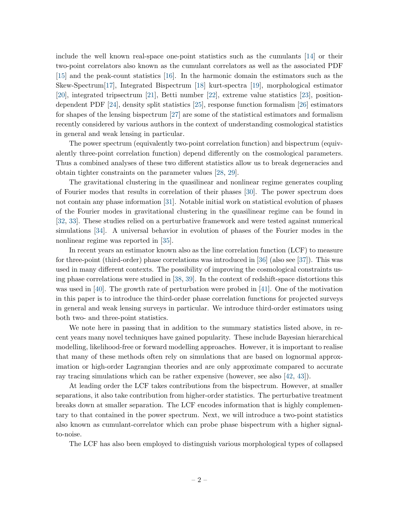include the well known real-space one-point statistics such as the cumulants [\[14\]](#page-13-12) or their two-point correlators also known as the cumulant correlators as well as the associated PDF [\[15\]](#page-13-13) and the peak-count statistics [\[16\]](#page-13-14). In the harmonic domain the estimators such as the Skew-Spectrum[\[17\]](#page-13-15), Integrated Bispectrum [\[18\]](#page-13-16) kurt-spectra [\[19\]](#page-13-17), morphological estimator [\[20\]](#page-13-18), integrated tripsectrum [\[21\]](#page-14-0), Betti number [\[22\]](#page-14-1), extreme value statistics [\[23\]](#page-14-2), positiondependent PDF [\[24\]](#page-14-3), density split statistics [\[25\]](#page-14-4), response function formalism [\[26\]](#page-14-5) estimators for shapes of the lensing bispectrum [\[27\]](#page-14-6) are some of the statistical estimators and formalism recently considered by various authors in the context of understanding cosmological statistics in general and weak lensing in particular.

The power spectrum (equivalently two-point correlation function) and bispectrum (equivalently three-point correlation function) depend differently on the cosmological parameters. Thus a combined analyses of these two different statistics allow us to break degeneracies and obtain tighter constraints on the parameter values [\[28,](#page-14-7) [29\]](#page-14-8).

The gravitational clustering in the quasilinear and nonlinear regime generates coupling of Fourier modes that results in correlation of their phases [\[30\]](#page-14-9). The power spectrum does not contain any phase information [\[31\]](#page-14-10). Notable initial work on statistical evolution of phases of the Fourier modes in gravitational clustering in the quasilinear regime can be found in [\[32,](#page-14-11) [33\]](#page-14-12). These studies relied on a perturbative framework and were tested against numerical simulations [\[34\]](#page-14-13). A universal behavior in evolution of phases of the Fourier modes in the nonlinear regime was reported in [\[35\]](#page-14-14).

In recent years an estimator known also as the line correlation function (LCF) to measure for three-point (third-order) phase correlations was introduced in [\[36\]](#page-14-15) (also see [\[37\]](#page-14-16)). This was used in many different contexts. The possibility of improving the cosmological constraints using phase correlations were studied in [\[38,](#page-15-0) [39\]](#page-15-1). In the context of redshift-space distortions this was used in [\[40\]](#page-15-2). The growth rate of perturbation were probed in [\[41\]](#page-15-3). One of the motivation in this paper is to introduce the third-order phase correlation functions for projected surveys in general and weak lensing surveys in particular. We introduce third-order estimators using both two- and three-point statistics.

We note here in passing that in addition to the summary statistics listed above, in recent years many novel techniques have gained popularity. These include Bayesian hierarchical modelling, likelihood-free or forward modelling approaches. However, it is important to realise that many of these methods often rely on simulations that are based on lognormal approximation or high-order Lagrangian theories and are only approximate compared to accurate ray tracing simulations which can be rather expensive (however, see also [\[42,](#page-15-4) [43\]](#page-15-5)).

At leading order the LCF takes contributions from the bispectrum. However, at smaller separations, it also take contribution from higher-order statistics. The perturbative treatment breaks down at smaller separation. The LCF encodes information that is highly complementary to that contained in the power spectrum. Next, we will introduce a two-point statistics also known as cumulant-correlator which can probe phase bispectrum with a higher signalto-noise.

The LCF has also been employed to distinguish various morphological types of collapsed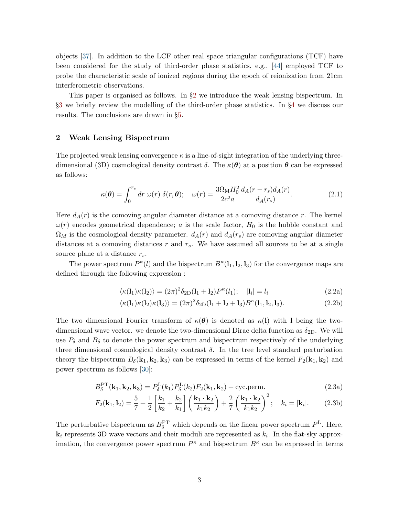objects [\[37\]](#page-14-16). In addition to the LCF other real space triangular configurations (TCF) have been considered for the study of third-order phase statistics, e.g., [\[44\]](#page-15-6) employed TCF to probe the characteristic scale of ionized regions during the epoch of reionization from 21cm interferometric observations.

This paper is organised as follows. In §[2](#page-3-0) we introduce the weak lensing bispectrum. In §[3](#page-4-0) we briefly review the modelling of the third-order phase statistics. In §[4](#page-9-0) we discuss our results. The conclusions are drawn in §[5.](#page-11-0)

## <span id="page-3-0"></span>2 Weak Lensing Bispectrum

The projected weak lensing convergence  $\kappa$  is a line-of-sight integration of the underlying threedimensional (3D) cosmological density contrast  $\delta$ . The  $\kappa(\theta)$  at a position  $\theta$  can be expressed as follows:

$$
\kappa(\boldsymbol{\theta}) = \int_0^{r_s} dr \,\omega(r) \,\delta(r,\boldsymbol{\theta}); \quad \omega(r) = \frac{3\Omega_{\rm M} H_0^2}{2c^2 a} \frac{d_A(r - r_s) d_A(r)}{d_A(r_s)}.
$$
 (2.1)

Here  $d_A(r)$  is the comoving angular diameter distance at a comoving distance r. The kernel  $\omega(r)$  encodes geometrical dependence; a is the scale factor,  $H_0$  is the hubble constant and  $\Omega_M$  is the cosmological density parameter.  $d_A(r)$  and  $d_A(r_s)$  are comoving angular diameter distances at a comoving distances r and  $r<sub>s</sub>$ . We have assumed all sources to be at a single source plane at a distance  $r_s$ .

The power spectrum  $P^{\kappa}(l)$  and the bispectrum  $B^{\kappa}(l_1, l_2, l_3)$  for the convergence maps are defined through the following expression :

$$
\langle \kappa(\mathbf{l}_1)\kappa(\mathbf{l}_2) \rangle = (2\pi)^2 \delta_{2\text{D}}(\mathbf{l}_1 + \mathbf{l}_2) P^{\kappa}(l_1); \quad |\mathbf{l}_i| = l_i \tag{2.2a}
$$

$$
\langle \kappa(\mathbf{l}_1) \kappa(\mathbf{l}_2) \kappa(\mathbf{l}_3) \rangle = (2\pi)^2 \delta_{2D} (\mathbf{l}_1 + \mathbf{l}_2 + \mathbf{l}_3) B^{\kappa}(\mathbf{l}_1, \mathbf{l}_2, \mathbf{l}_3). \tag{2.2b}
$$

The two dimensional Fourier transform of  $\kappa(\theta)$  is denoted as  $\kappa(1)$  with I being the twodimensional wave vector. we denote the two-dimensional Dirac delta function as  $\delta_{2D}$ . We will use  $P_\delta$  and  $B_\delta$  to denote the power spectrum and bispectrum respectively of the underlying three dimensional cosmological density contrast  $\delta$ . In the tree level standard perturbation theory the bispectrum  $B_\delta({\bf k}_1, {\bf k}_2, {\bf k}_3)$  can be expressed in terms of the kernel  $F_2({\bf k}_1, {\bf k}_2)$  and power spectrum as follows [\[30\]](#page-14-9):

<span id="page-3-1"></span>
$$
B_{\delta}^{\text{PT}}(\mathbf{k}_1, \mathbf{k}_2, \mathbf{k}_3) = P_{\delta}^{\text{L}}(k_1) P_{\delta}^{\text{L}}(k_2) F_2(\mathbf{k}_1, \mathbf{k}_2) + \text{cyc.perm.}
$$
\n(2.3a)

$$
F_2(\mathbf{k}_1, \mathbf{l}_2) = \frac{5}{7} + \frac{1}{2} \left[ \frac{k_1}{k_2} + \frac{k_2}{k_1} \right] \left( \frac{\mathbf{k}_1 \cdot \mathbf{k}_2}{k_1 k_2} \right) + \frac{2}{7} \left( \frac{\mathbf{k}_1 \cdot \mathbf{k}_2}{k_1 k_2} \right)^2; \quad k_i = |\mathbf{k}_i|. \tag{2.3b}
$$

The perturbative bispectrum as  $B_{\delta}^{\text{PT}}$  which depends on the linear power spectrum  $P^{\text{L}}$ . Here,  $\mathbf{k}_i$  represents 3D wave vectors and their moduli are represented as  $k_i$ . In the flat-sky approximation, the convergence power spectrum  $P^{\kappa}$  and bispectrum  $B^{\kappa}$  can be expressed in terms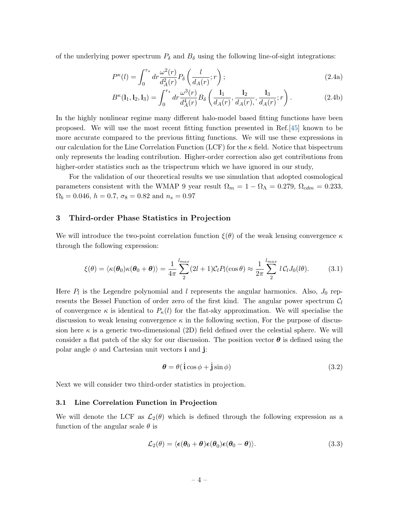of the underlying power spectrum  $P_{\delta}$  and  $B_{\delta}$  using the following line-of-sight integrations:

$$
P^{\kappa}(l) = \int_0^{r_s} dr \frac{\omega^2(r)}{d_A^2(r)} P_\delta\left(\frac{l}{d_A(r)}; r\right); \tag{2.4a}
$$

$$
B^{\kappa}(\mathbf{l}_1, \mathbf{l}_2, \mathbf{l}_3) = \int_0^{r_s} dr \frac{\omega^3(r)}{d_A^4(r)} B_\delta\left(\frac{\mathbf{l}_1}{d_A(r)}, \frac{\mathbf{l}_2}{d_A(r)}, \frac{\mathbf{l}_3}{d_A(r)}; r\right).
$$
 (2.4b)

In the highly nonlinear regime many different halo-model based fitting functions have been proposed. We will use the most recent fitting function presented in Ref.[\[45\]](#page-15-7) known to be more accurate compared to the previous fitting functions. We will use these expressions in our calculation for the Line Correlation Function (LCF) for the  $\kappa$  field. Notice that bispectrum only represents the leading contribution. Higher-order correction also get contributions from higher-order statistics such as the trispectrum which we have ignored in our study,

For the validation of our theoretical results we use simulation that adopted cosmological parameters consistent with the WMAP 9 year result  $\Omega_m = 1 - \Omega_{\Lambda} = 0.279$ ,  $\Omega_{cdm} = 0.233$ ,  $\Omega_b = 0.046, h = 0.7, \sigma_8 = 0.82 \text{ and } n_s = 0.97$ 

### <span id="page-4-0"></span>3 Third-order Phase Statistics in Projection

We will introduce the two-point correlation function  $\xi(\theta)$  of the weak lensing convergence  $\kappa$ through the following expression:

<span id="page-4-3"></span>
$$
\xi(\theta) = \langle \kappa(\theta_0) \kappa(\theta_0 + \theta) \rangle = \frac{1}{4\pi} \sum_{1}^{l_{max}} (2l + 1) \mathcal{C}_l P_l(\cos \theta) \approx \frac{1}{2\pi} \sum_{1}^{l_{max}} l \mathcal{C}_l J_0(l\theta).
$$
 (3.1)

Here  $P_l$  is the Legendre polynomial and l represents the angular harmonics. Also,  $J_0$  represents the Bessel Function of order zero of the first kind. The angular power spectrum  $\mathcal{C}_l$ of convergence  $\kappa$  is identical to  $P_{\kappa}(l)$  for the flat-sky approximation. We will specialise the discussion to weak lensing convergence  $\kappa$  in the following section, For the purpose of discussion here  $\kappa$  is a generic two-dimensional (2D) field defined over the celestial sphere. We will consider a flat patch of the sky for our discussion. The position vector  $\theta$  is defined using the polar angle  $\phi$  and Cartesian unit vectors **i** and **j**:

$$
\boldsymbol{\theta} = \theta(\hat{\mathbf{i}}\cos\phi + \hat{\mathbf{j}}\sin\phi) \tag{3.2}
$$

Next we will consider two third-order statistics in projection.

#### <span id="page-4-1"></span>3.1 Line Correlation Function in Projection

We will denote the LCF as  $\mathcal{L}_2(\theta)$  which is defined through the following expression as a function of the angular scale  $\theta$  is

<span id="page-4-2"></span>
$$
\mathcal{L}_2(\theta) = \langle \epsilon(\theta_0 + \theta) \epsilon(\theta_0) \epsilon(\theta_0 - \theta) \rangle. \tag{3.3}
$$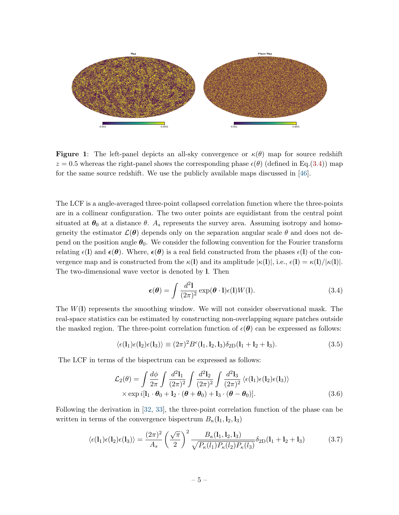<span id="page-5-2"></span>

**Figure 1:** The left-panel depicts an all-sky convergence or  $\kappa(\theta)$  map for source redshift  $z = 0.5$  whereas the right-panel shows the corresponding phase  $\epsilon(\theta)$  (defined in Eq.[\(3.4\)](#page-5-0)) map for the same source redshift. We use the publicly available maps discussed in [\[46\]](#page-15-8).

The LCF is a angle-averaged three-point collapsed correlation function where the three-points are in a collinear configuration. The two outer points are equidistant from the central point situated at  $\theta_0$  at a distance  $\theta$ . A<sub>s</sub> represents the survey area. Assuming isotropy and homogeneity the estimator  $\mathcal{L}(\theta)$  depends only on the separation angular scale  $\theta$  and does not depend on the position angle  $\theta_0$ . We consider the following convention for the Fourier transform relating  $\epsilon(\mathbf{l})$  and  $\epsilon(\theta)$ . Where,  $\epsilon(\theta)$  is a real field constructed from the phases  $\epsilon(\mathbf{l})$  of the convergence map and is constructed from the  $\kappa(1)$  and its amplitude  $|\kappa(1)|$ , i.e.,  $\epsilon(1) = \kappa(1)/|\kappa(1)|$ . The two-dimensional wave vector is denoted by l. Then

<span id="page-5-0"></span>
$$
\epsilon(\boldsymbol{\theta}) = \int \frac{d^2 \mathbf{l}}{(2\pi)^2} \exp(\boldsymbol{\theta} \cdot \mathbf{l}) \epsilon(\mathbf{l}) W(\mathbf{l}). \tag{3.4}
$$

The  $W(1)$  represents the smoothing window. We will not consider observational mask. The real-space statistics can be estimated by constructing non-overlapping square patches outside the masked region. The three-point correlation function of  $\epsilon(\theta)$  can be expressed as follows:

$$
\langle \epsilon(\mathbf{l}_1)\epsilon(\mathbf{l}_2)\epsilon(\mathbf{l}_3)\rangle \equiv (2\pi)^2 B^{\epsilon}(\mathbf{l}_1, \mathbf{l}_2, \mathbf{l}_3) \delta_{2D}(\mathbf{l}_1 + \mathbf{l}_2 + \mathbf{l}_3). \tag{3.5}
$$

The LCF in terms of the bispectrum can be expressed as follows:

$$
\mathcal{L}_2(\theta) = \int \frac{d\phi}{2\pi} \int \frac{d^2 \mathbf{l}_1}{(2\pi)^2} \int \frac{d^2 \mathbf{l}_2}{(2\pi)^2} \int \frac{d^2 \mathbf{l}_3}{(2\pi)^2} \langle \epsilon(\mathbf{l}_1) \epsilon(\mathbf{l}_2) \epsilon(\mathbf{l}_3) \rangle
$$
  
× exp  $i[\mathbf{l}_1 \cdot \boldsymbol{\theta}_0 + \mathbf{l}_2 \cdot (\boldsymbol{\theta} + \boldsymbol{\theta}_0) + \mathbf{l}_3 \cdot (\boldsymbol{\theta} - \boldsymbol{\theta}_0)].$  (3.6)

Following the derivation in [\[32,](#page-14-11) [33\]](#page-14-12), the three-point correlation function of the phase can be written in terms of the convergence bispectrum  $B_{\kappa}(l_1, l_2, l_3)$ 

<span id="page-5-1"></span>
$$
\langle \epsilon(\mathbf{l}_1)\epsilon(\mathbf{l}_2)\epsilon(\mathbf{l}_3)\rangle = \frac{(2\pi)^2}{A_s} \left(\frac{\sqrt{\pi}}{2}\right)^2 \frac{B_\kappa(\mathbf{l}_1, \mathbf{l}_2, \mathbf{l}_3)}{\sqrt{P_\kappa(l_1)P_\kappa(l_2)P_\kappa(l_3)}} \delta_{2\text{D}}(\mathbf{l}_1 + \mathbf{l}_2 + \mathbf{l}_3) \tag{3.7}
$$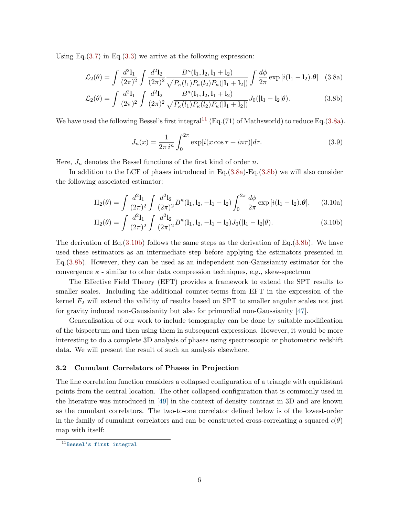Using Eq. $(3.7)$  in Eq. $(3.3)$  we arrive at the following expression:

<span id="page-6-2"></span>
$$
\mathcal{L}_2(\theta) = \int \frac{d^2 \mathbf{l}_1}{(2\pi)^2} \int \frac{d^2 \mathbf{l}_2}{(2\pi)^2} \frac{B^\kappa(\mathbf{l}_1, \mathbf{l}_2, \mathbf{l}_1 + \mathbf{l}_2)}{\sqrt{P_\kappa(l_1)P_\kappa(l_2)P_\kappa(|\mathbf{l}_1 + \mathbf{l}_2|)}} \int \frac{d\phi}{2\pi} \exp\left[i(\mathbf{l}_1 - \mathbf{l}_2).\theta\right] \tag{3.8a}
$$

$$
\mathcal{L}_2(\theta) = \int \frac{d^2 \mathbf{l}_1}{(2\pi)^2} \int \frac{d^2 \mathbf{l}_2}{(2\pi)^2} \frac{B^\kappa(\mathbf{l}_1, \mathbf{l}_2, \mathbf{l}_1 + \mathbf{l}_2)}{\sqrt{P_\kappa(l_1)P_\kappa(l_2)P_\kappa(|\mathbf{l}_1 + \mathbf{l}_2|)}} J_0(|\mathbf{l}_1 - \mathbf{l}_2|\theta). \tag{3.8b}
$$

We have used the following Bessel's first integral<sup>[11](#page-6-1)</sup> (Eq.(71) of Mathsworld) to reduce Eq.[\(3.8a\)](#page-6-2).

$$
J_n(x) = \frac{1}{2\pi i^n} \int_0^{2\pi} \exp[i(x\cos\tau + in\tau)]d\tau.
$$
 (3.9)

Here,  $J_n$  denotes the Bessel functions of the first kind of order n.

In addition to the LCF of phases introduced in Eq.[\(3.8a\)](#page-6-2)-Eq.[\(3.8b\)](#page-6-2) we will also consider the following associated estimator:

<span id="page-6-3"></span>
$$
\Pi_2(\theta) = \int \frac{d^2 \mathbf{l}_1}{(2\pi)^2} \int \frac{d^2 \mathbf{l}_2}{(2\pi)^2} B^{\kappa}(\mathbf{l}_1, \mathbf{l}_2, -\mathbf{l}_1 - \mathbf{l}_2) \int_0^{2\pi} \frac{d\phi}{2\pi} \exp[i(\mathbf{l}_1 - \mathbf{l}_2).\theta]. \tag{3.10a}
$$

$$
\Pi_2(\theta) = \int \frac{d^2 \mathbf{l}_1}{(2\pi)^2} \int \frac{d^2 \mathbf{l}_2}{(2\pi)^2} B^{\kappa}(\mathbf{l}_1, \mathbf{l}_2, -\mathbf{l}_1 - \mathbf{l}_2) J_0(|\mathbf{l}_1 - \mathbf{l}_2| \theta).
$$
 (3.10b)

The derivation of Eq.  $(3.10b)$  follows the same steps as the derivation of Eq.  $(3.8b)$ . We have used these estimators as an intermediate step before applying the estimators presented in Eq.[\(3.8b\)](#page-6-2). However, they can be used as an independent non-Gaussianity estimator for the convergence  $\kappa$  - similar to other data compression techniques, e.g., skew-spectrum

The Effective Field Theory (EFT) provides a framework to extend the SPT results to smaller scales. Including the additional counter-terms from EFT in the expression of the kernel  $F_2$  will extend the validity of results based on SPT to smaller angular scales not just for gravity induced non-Gaussianity but also for primordial non-Gaussianity [\[47\]](#page-15-9).

Generalisation of our work to include tomography can be done by suitable modification of the bispectrum and then using them in subsequent expressions. However, it would be more interesting to do a complete 3D analysis of phases using spectroscopic or photometric redshift data. We will present the result of such an analysis elsewhere.

### <span id="page-6-0"></span>3.2 Cumulant Correlators of Phases in Projection

The line correlation function considers a collapsed configuration of a triangle with equidistant points from the central location. The other collapsed configuration that is commonly used in the literature was introduced in [\[49\]](#page-15-10) in the context of density contrast in 3D and are known as the cumulant correlators. The two-to-one correlator defined below is of the lowest-order in the family of cumulant correlators and can be constructed cross-correlating a squared  $\epsilon(\theta)$ map with itself:

<span id="page-6-1"></span><sup>11</sup>[Bessel's first integral](http://mathworld.wolfram.com/BesselFunctionoftheFirstKind.html)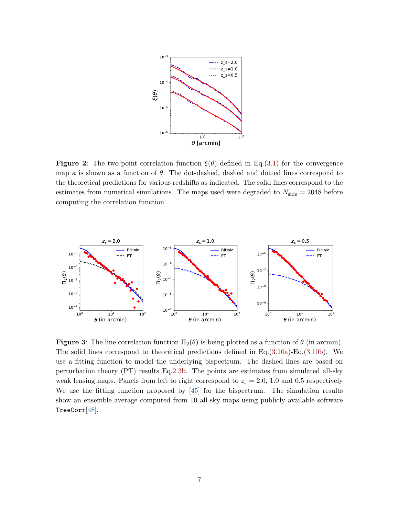<span id="page-7-0"></span>

**Figure 2:** The two-point correlation function  $\xi(\theta)$  defined in Eq.[\(3.1\)](#page-4-3) for the convergence map  $\kappa$  is shown as a function of  $\theta$ . The dot-dashed, dashed and dotted lines correspond to the theoretical predictions for various redshifts as indicated. The solid lines correspond to the estimates from numerical simulations. The maps used were degraded to  $N_{\text{side}} = 2048$  before computing the correlation function.

<span id="page-7-1"></span>

**Figure 3:** The line correlation function  $\Pi_2(\theta)$  is being plotted as a function of  $\theta$  (in arcmin). The solid lines correspond to theoretical predictions defined in Eq. $(3.10a)$ -Eq. $(3.10b)$ . We use a fitting function to model the underlying bispectrum. The dashed lines are based on perturbation theory (PT) results Eq[.2.3b.](#page-3-1) The points are estimates from simulated all-sky weak lensing maps. Panels from left to right correspond to  $z_s = 2.0, 1.0$  and 0.5 respectively We use the fitting function proposed by [\[45\]](#page-15-7) for the bispectrum. The simulation results show an ensemble average computed from 10 all-sky maps using publicly available software TreeCorr[\[48\]](#page-15-11).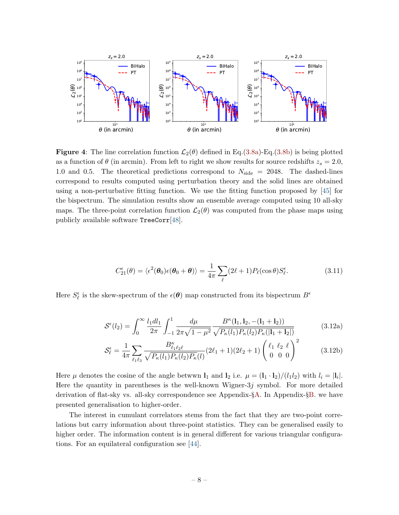<span id="page-8-1"></span>

**Figure 4:** The line correlation function  $\mathcal{L}_2(\theta)$  defined in Eq.[\(3.8a\)](#page-6-2)-Eq.[\(3.8b\)](#page-6-2) is being plotted as a function of  $\theta$  (in arcmin). From left to right we show results for source redshifts  $z_s = 2.0$ , 1.0 and 0.5. The theoretical predictions correspond to  $N_{\text{side}} = 2048$ . The dashed-lines correspond to results computed using perturbation theory and the solid lines are obtained using a non-perturbative fitting function. We use the fitting function proposed by [\[45\]](#page-15-7) for the bispectrum. The simulation results show an ensemble average computed using 10 all-sky maps. The three-point correlation function  $\mathcal{L}_2(\theta)$  was computed from the phase maps using publicly available software TreeCorr[\[48\]](#page-15-11).

<span id="page-8-0"></span>
$$
C_{21}^{\epsilon}(\theta) = \langle \epsilon^2(\theta_0)\epsilon(\theta_0 + \theta) \rangle = \frac{1}{4\pi} \sum_{\ell} (2\ell + 1) P_{\ell}(\cos \theta) S_{\ell}^{\epsilon}.
$$
 (3.11)

Here  $S_{\ell}^{\epsilon}$  is the skew-spectrum of the  $\epsilon(\theta)$  map constructed from its bispectrum  $B^{\epsilon}$ 

$$
S^{\epsilon}(l_2) = \int_0^{\infty} \frac{l_1 dl_1}{2\pi} \int_{-1}^1 \frac{d\mu}{2\pi\sqrt{1-\mu^2}} \frac{B^{\kappa}(l_1, l_2, -(l_1 + l_2))}{\sqrt{P_{\kappa}(l_1)P_{\kappa}(l_2)P_{\kappa}(|l_1 + l_2|)}}
$$
(3.12a)

$$
S_{\ell}^{\epsilon} = \frac{1}{4\pi} \sum_{\ell_1 \ell_3} \frac{B_{\ell_1 \ell_2 \ell}^{\kappa}}{\sqrt{P_{\kappa}(l_1) P_{\kappa}(l_2) P_{\kappa}(l)}} (2\ell_1 + 1)(2\ell_2 + 1) \left(\begin{array}{cc} \ell_1 & \ell_2 & \ell \\ 0 & 0 & 0 \end{array}\right)^2 \tag{3.12b}
$$

Here  $\mu$  denotes the cosine of the angle betwwn  $\mathbf{l}_1$  and  $\mathbf{l}_2$  i.e.  $\mu = (\mathbf{l}_1 \cdot \mathbf{l}_2)/(l_1 l_2)$  with  $l_i = |\mathbf{l}_i|$ . Here the quantity in parentheses is the well-known Wigner-3j symbol. For more detailed derivation of flat-sky vs. all-sky correspondence see Appendix-§[A.](#page-16-0) In Appendix-§[B.](#page-18-0) we have presented generalisation to higher-order.

The interest in cumulant correlators stems from the fact that they are two-point correlations but carry information about three-point statistics. They can be generalised easily to higher order. The information content is in general different for various triangular configurations. For an equilateral configuration see [\[44\]](#page-15-6).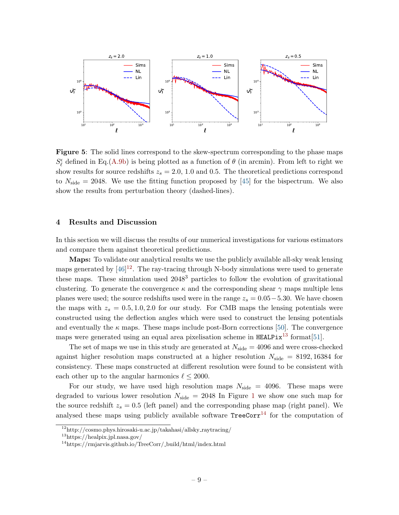<span id="page-9-4"></span>

Figure 5: The solid lines correspond to the skew-spectrum corresponding to the phase maps  $S_{\ell}^{\epsilon}$  defined in Eq.[\(A.9b\)](#page-17-0) is being plotted as a function of  $\theta$  (in arcmin). From left to right we show results for source redshifts  $z_s = 2.0, 1.0$  and 0.5. The theoretical predictions correspond to  $N_{\text{side}} = 2048$ . We use the fitting function proposed by [\[45\]](#page-15-7) for the bispectrum. We also show the results from perturbation theory (dashed-lines).

## <span id="page-9-0"></span>4 Results and Discussion

In this section we will discuss the results of our numerical investigations for various estimators and compare them against theoretical predictions.

Maps: To validate our analytical results we use the publicly available all-sky weak lensing maps generated by  $[46]^{12}$  $[46]^{12}$  $[46]^{12}$  $[46]^{12}$ . The ray-tracing through N-body simulations were used to generate these maps. These simulation used 2048<sup>3</sup> particles to follow the evolution of gravitational clustering. To generate the convergence  $\kappa$  and the corresponding shear  $\gamma$  maps multiple lens planes were used; the source redshifts used were in the range  $z_s = 0.05-5.30$ . We have chosen the maps with  $z_s = 0.5, 1.0, 2.0$  for our study. For CMB maps the lensing potentials were constructed using the deflection angles which were used to construct the lensing potentials and eventually the  $\kappa$  maps. These maps include post-Born corrections [\[50\]](#page-15-12). The convergence maps were generated using an equal area pixelisation scheme in  $\texttt{HEALPix}^{13}$  $\texttt{HEALPix}^{13}$  $\texttt{HEALPix}^{13}$  format [\[51\]](#page-15-13).

The set of maps we use in this study are generated at  $N_{side} = 4096$  and were cross-checked against higher resolution maps constructed at a higher resolution  $N_{side} = 8192, 16384$  for consistency. These maps constructed at different resolution were found to be consistent with each other up to the angular harmonics  $\ell \leq 2000$ .

For our study, we have used high resolution maps  $N_{\text{side}} = 4096$ . These maps were degraded to various lower resolution  $N_{\text{side}} = 2048$  In Figure [1](#page-5-2) we show one such map for the source redshift  $z_s = 0.5$  (left panel) and the corresponding phase map (right panel). We analysed these maps using publicly available software  $TreeCorr<sup>14</sup>$  $TreeCorr<sup>14</sup>$  $TreeCorr<sup>14</sup>$  for the computation of

<span id="page-9-1"></span> $12$ http://cosmo.phys.hirosaki-u.ac.jp/takahasi/allsky\_raytracing/

<span id="page-9-2"></span><sup>13</sup>https://healpix.jpl.nasa.gov/

<span id="page-9-3"></span><sup>14</sup>https://rmjarvis.github.io/TreeCorr/ build/html/index.html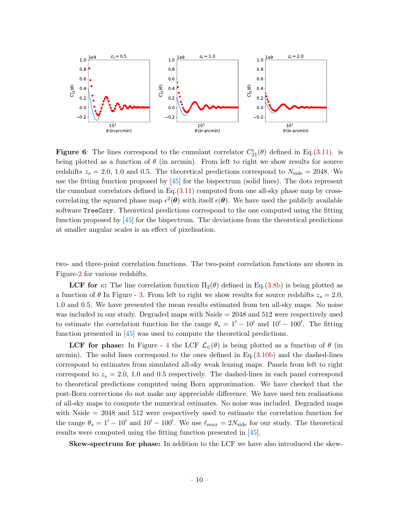<span id="page-10-0"></span>

**Figure 6:** The lines correspond to the cumulant correlator  $C_{21}^{\epsilon}(\theta)$  defined in Eq.[\(3.11\)](#page-8-0). is being plotted as a function of  $\theta$  (in arcmin). From left to right we show results for source redshifts  $z_s = 2.0, 1.0$  and 0.5. The theoretical predictions correspond to  $N_{\text{side}} = 2048$ . We use the fitting function proposed by [\[45\]](#page-15-7) for the bispectrum (solid lines). The dots represent the cumulant correlators defined in Eq.[\(3.11\)](#page-8-0) computed from one all-sky phase map by crosscorrelating the squared phase map  $\epsilon^2(\theta)$  with itself  $\epsilon(\theta)$ . We have used the publicly available software TreeCorr. Theoretical predictions correspond to the one computed using the fitting function proposed by [\[45\]](#page-15-7) for the bispectrum. The deviations from the theoretical predictions at smaller angular scales is an effect of pixelisation.

two- and three-point correlation functions. The two-point correlation functions are shown in Figure[-2](#page-7-0) for various redshifts.

**LCF** for  $\kappa$ : The line correlation function  $\Pi_2(\theta)$  defined in Eq.[\(3.8b\)](#page-6-2) is being plotted as a function of  $\theta$  In Figure - [3.](#page-7-1) From left to right we show results for source redshifts  $z_s = 2.0$ , 1.0 and 0.5. We have presented the mean results estimated from ten all-sky maps. No noise was included in our study. Degraded maps with Nside = 2048 and 512 were respectively used to estimate the correlation function for the range  $\theta_s = 1' - 10'$  and  $10' - 100'$ . The fitting function presented in [\[45\]](#page-15-7) was used to compute the theoretical predictions.

**LCF** for phase: In Figure - [4](#page-8-1) the LCF  $\mathcal{L}_{\in}(\theta)$  is being plotted as a function of  $\theta$  (in arcmin). The solid lines correspond to the ones defined in Eq.[\(3.10b\)](#page-6-3) and the dashed-lines correspond to estimates from simulated all-sky weak lensing maps. Panels from left to right correspond to  $z_s = 2.0, 1.0$  and 0.5 respectively. The dashed-lines in each panel correspond to theoretical predictions computed using Born approximation. We have checked that the post-Born corrections do not make any appreciable difference. We have used ten realisations of all-sky maps to compute the numerical estimates. No noise was included. Degraded maps with Nside = 2048 and 512 were respectively used to estimate the correlation function for the range  $\theta_s = 1' - 10'$  and  $10' - 100'$ . We use  $\ell_{max} = 2N_{side}$  for our study. The theoretical results were computed using the fitting function presented in [\[45\]](#page-15-7).

Skew-spectrum for phase: In addition to the LCF we have also introduced the skew-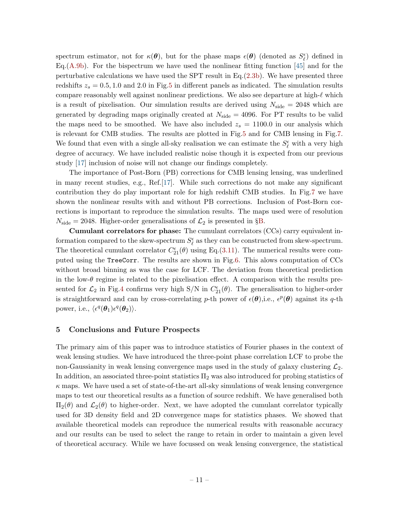spectrum estimator, not for  $\kappa(\theta)$ , but for the phase maps  $\epsilon(\theta)$  (denoted as  $S_{\ell}^{\epsilon}$ ) defined in Eq.  $(A.9b)$ . For the bispectrum we have used the nonlinear fitting function [\[45\]](#page-15-7) and for the perturbative calculations we have used the SPT result in  $Eq.(2.3b)$  $Eq.(2.3b)$ . We have presented three redshifts  $z_s = 0.5, 1.0$  $z_s = 0.5, 1.0$  $z_s = 0.5, 1.0$  and 2.0 in Fig.5 in different panels as indicated. The simulation results compare reasonably well against nonlinear predictions. We also see departure at high- $\ell$  which is a result of pixelisation. Our simulation results are derived using  $N_{\text{side}} = 2048$  which are generated by degrading maps originally created at  $N_{\text{side}} = 4096$ . For PT results to be valid the maps need to be smoothed. We have also included  $z_s = 1100.0$  in our analysis which is relevant for CMB studies. The results are plotted in Fig[.5](#page-9-4) and for CMB lensing in Fig[.7.](#page-12-1) We found that even with a single all-sky realisation we can estimate the  $S_{\ell}^{\epsilon}$  with a very high degree of accuracy. We have included realistic noise though it is expected from our previous study [\[17\]](#page-13-15) inclusion of noise will not change our findings completely.

The importance of Post-Born (PB) corrections for CMB lensing lensing, was underlined in many recent studies, e.g., Ref.[\[17\]](#page-13-15). While such corrections do not make any significant contribution they do play important role for high redshift CMB studies. In Fig[.7](#page-12-1) we have shown the nonlinear results with and without PB corrections. Inclusion of Post-Born corrections is important to reproduce the simulation results. The maps used were of resolution  $N_{\text{side}} = 2048$ . Higher-order generalisations of  $\mathcal{L}_2$  is presented in §[B.](#page-18-0)

Cumulant correlators for phase: The cumulant correlators (CCs) carry equivalent information compared to the skew-spectrum  $S_{\ell}^{\epsilon}$  as they can be constructed from skew-spectrum. The theoretical cumulant correlator  $C_{21}^{\epsilon}(\theta)$  using Eq.[\(3.11\)](#page-8-0). The numerical results were computed using the TreeCorr. The results are shown in Fig[.6.](#page-10-0) This alows computation of CCs without broad binning as was the case for LCF. The deviation from theoretical prediction in the low- $\theta$  regime is related to the pixelisation effect. A comparison with the results presented for  $\mathcal{L}_2$  in Fig[.4](#page-8-1) confirms very high S/N in  $C_{21}^{\epsilon}(\theta)$ . The generalisation to higher-order is straightforward and can by cross-correlating p-th power of  $\epsilon(\theta)$ , i.e.,  $\epsilon^p(\theta)$  against its q-th power, i.e.,  $\langle \epsilon^q(\boldsymbol{\theta}_1)\epsilon^q(\boldsymbol{\theta}_2)\rangle$ .

## <span id="page-11-0"></span>5 Conclusions and Future Prospects

The primary aim of this paper was to introduce statistics of Fourier phases in the context of weak lensing studies. We have introduced the three-point phase correlation LCF to probe the non-Gaussianity in weak lensing convergence maps used in the study of galaxy clustering  $\mathcal{L}_2$ . In addition, an associated three-point statistics  $\Pi_2$  was also introduced for probing statistics of  $\kappa$  maps. We have used a set of state-of-the-art all-sky simulations of weak lensing convergence maps to test our theoretical results as a function of source redshift. We have generalised both  $\Pi_2(\theta)$  and  $\mathcal{L}_2(\theta)$  to higher-order. Next, we have adopted the cumulant correlator typically used for 3D density field and 2D convergence maps for statistics phases. We showed that available theoretical models can reproduce the numerical results with reasonable accuracy and our results can be used to select the range to retain in order to maintain a given level of theoretical accuracy. While we have focussed on weak lensing convergence, the statistical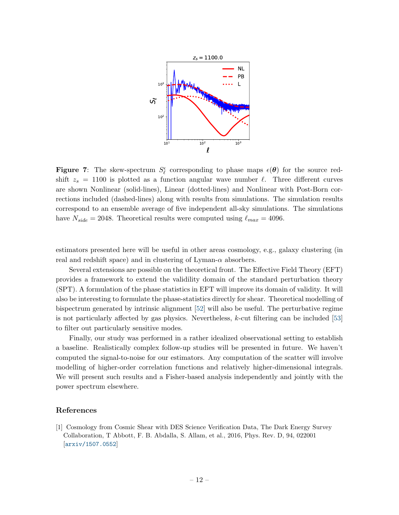<span id="page-12-1"></span>

**Figure 7:** The skew-spectrum  $S_{\ell}^{\epsilon}$  corresponding to phase maps  $\epsilon(\theta)$  for the source redshift  $z_s = 1100$  is plotted as a function angular wave number  $\ell$ . Three different curves are shown Nonlinear (solid-lines), Linear (dotted-lines) and Nonlinear with Post-Born corrections included (dashed-lines) along with results from simulations. The simulation results correspond to an ensemble average of five independent all-sky simulations. The simulations have  $N_{side} = 2048$ . Theoretical results were computed using  $\ell_{max} = 4096$ .

estimators presented here will be useful in other areas cosmology, e.g., galaxy clustering (in real and redshift space) and in clustering of Lyman- $\alpha$  absorbers.

Several extensions are possible on the theoretical front. The Effective Field Theory (EFT) provides a framework to extend the validility domain of the standard perturbation theory (SPT). A formulation of the phase statistics in EFT will improve its domain of validity. It will also be interesting to formulate the phase-statistics directly for shear. Theoretical modelling of bispectrum generated by intrinsic alignment [\[52\]](#page-15-14) will also be useful. The perturbative regime is not particularly affected by gas physics. Nevertheless,  $k$ -cut filtering can be included [\[53\]](#page-15-15) to filter out particularly sensitive modes.

Finally, our study was performed in a rather idealized observational setting to establish a baseline. Realistically complex follow-up studies will be presented in future. We haven't computed the signal-to-noise for our estimators. Any computation of the scatter will involve modelling of higher-order correlation functions and relatively higher-dimensional integrals. We will present such results and a Fisher-based analysis independently and jointly with the power spectrum elsewhere.

#### References

<span id="page-12-0"></span>[1] Cosmology from Cosmic Shear with DES Science Verification Data, The Dark Energy Survey Collaboration, T Abbott, F. B. Abdalla, S. Allam, et al., 2016, Phys. Rev. D, 94, 022001 [[arxiv/1507.0552](https://arxiv.org/abs/1507.05552)]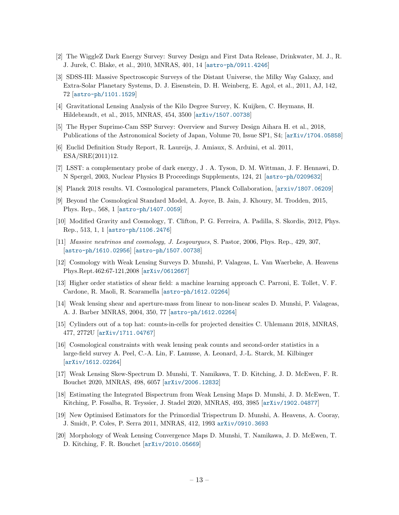- <span id="page-13-0"></span>[2] The WiggleZ Dark Energy Survey: Survey Design and First Data Release, Drinkwater, M. J., R. J. Jurek, C. Blake, et al., 2010, MNRAS, 401, 14 [[astro-ph/0911.4246](hhttps://arxiv.org/abs/0911.4246)]
- <span id="page-13-1"></span>[3] SDSS-III: Massive Spectroscopic Surveys of the Distant Universe, the Milky Way Galaxy, and Extra-Solar Planetary Systems, D. J. Eisenstein, D. H. Weinberg, E. Agol, et al., 2011, AJ, 142, 72 [[astro-ph/1101.1529](https://arxiv.org/abs/1101.1529)]
- <span id="page-13-2"></span>[4] Gravitational Lensing Analysis of the Kilo Degree Survey, K. Kuijken, C. Heymans, H. Hildebrandt, et al., 2015, MNRAS, 454, 3500 [[arXiv/1507.00738](https://arxiv.org/abs/1507.00738)]
- <span id="page-13-3"></span>[5] The Hyper Suprime-Cam SSP Survey: Overview and Survey Design Aihara H. et al., 2018, Publications of the Astronomical Society of Japan, Volume 70, Issue SP1, S4; [[arXiv/1704.05858](https://arxiv.org/abs/1704.05858)]
- <span id="page-13-4"></span>[6] Euclid Definition Study Report, R. Laureijs, J. Amiaux, S. Arduini, et al. 2011, ESA/SRE(2011)12.
- <span id="page-13-5"></span>[7] LSST: a complementary probe of dark energy, J . A. Tyson, D. M. Wittman, J. F. Hennawi, D. N Spergel, 2003, Nuclear Physics B Proceedings Supplements, 124, 21 [[astro-ph/0209632](https://arxiv.org/abs/astro-ph/0209632)]
- <span id="page-13-6"></span>[8] Planck 2018 results. VI. Cosmological parameters, Planck Collaboration, [[arxiv/1807.06209](https://arxiv.org/abs/1807.06209)]
- <span id="page-13-7"></span>[9] Beyond the Cosmological Standard Model, A. Joyce, B. Jain, J. Khoury, M. Trodden, 2015, Phys. Rep., 568, 1 [[astro-ph/1407.0059](hhttps://arxiv.org/abs/1407.0059)]
- <span id="page-13-8"></span>[10] Modified Gravity and Cosmology, T. Clifton, P. G. Ferreira, A. Padilla, S. Skordis, 2012, Phys. Rep., 513, 1, 1 [[astro-ph/1106.2476](hhttps://arxiv.org/abs/1101.1529)]
- <span id="page-13-9"></span>[11] Massive neutrinos and cosmology, J. Lesgourgues, S. Pastor, 2006, Phys. Rep., 429, 307, [[astro-ph/1610.02956](hhttps://arxiv.org/abs/1610.02956)] [[astro-ph/1507.00738](https://arxiv.org/abs/1507.00738)]
- <span id="page-13-10"></span>[12] Cosmology with Weak Lensing Surveys D. Munshi, P. Valageas, L. Van Waerbeke, A. Heavens Phys.Rept.462:67-121,2008 [[arXiv/0612667](https://arxiv.org/abs/astro-ph/0612667)]
- <span id="page-13-11"></span>[13] Higher order statistics of shear field: a machine learning approach C. Parroni, E. Tollet, V. F. Cardone, R. Maoli, R. Scaramella [[astro-ph/1612.02264](https://arxiv.org/pdf/2011.10438.pdf)]
- <span id="page-13-12"></span>[14] Weak lensing shear and aperture-mass from linear to non-linear scales D. Munshi, P. Valageas, A. J. Barber MNRAS, 2004, 350, 77 [[astro-ph/1612.02264](https://arxiv.org/abs/astro-ph/0309698)]
- <span id="page-13-13"></span>[15] Cylinders out of a top hat: counts-in-cells for projected densities C. Uhlemann 2018, MNRAS, 477, 2772U [[arXiv/1711.04767](https://arxiv.org/abs/1711.04767)]
- <span id="page-13-14"></span>[16] Cosmological constraints with weak lensing peak counts and second-order statistics in a large-field survey A. Peel, C.-A. Lin, F. Lanusse, A. Leonard, J.-L. Starck, M. Kilbinger [[arXiv/1612.02264](https://arxiv.org/abs/1612.02264)]
- <span id="page-13-15"></span>[17] Weak Lensing Skew-Spectrum D. Munshi, T. Namikawa, T. D. Kitching, J. D. McEwen, F. R. Bouchet 2020, MNRAS, 498, 6057 [[arXiv/2006.12832](https://arxiv.org/abs/2006.12832)]
- <span id="page-13-16"></span>[18] Estimating the Integrated Bispectrum from Weak Lensing Maps D. Munshi, J. D. McEwen, T. Kitching, P. Fosalba, R. Teyssier, J. Stadel 2020, MNRAS, 493, 3985 [[arXiv/1902.04877](https://arxiv.org/pdf/1902.04877)]
- <span id="page-13-17"></span>[19] New Optimised Estimators for the Primordial Trispectrum D. Munshi, A. Heavens, A. Cooray, J. Smidt, P. Coles, P. Serra 2011, MNRAS, 412, 1993 [arXiv/0910.3693](https://arxiv.org/abs/0910.3693)
- <span id="page-13-18"></span>[20] Morphology of Weak Lensing Convergence Maps D. Munshi, T. Namikawa, J. D. McEwen, T. D. Kitching, F. R. Bouchet [[arXiv/2010.05669](https://arxiv.org/abs/2010.05669)]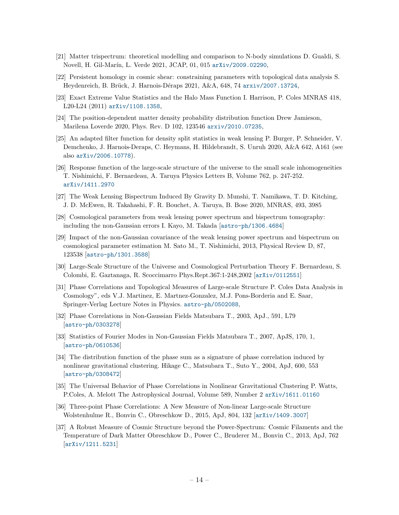- <span id="page-14-0"></span>[21] Matter trispectrum: theoretical modelling and comparison to N-body simulations D. Gualdi, S. Novell, H. Gil-Marín, L. Verde 2021, JCAP, 01, 015 [arXiv/2009.02290](https://arxiv.org/abs/2009.02290),
- <span id="page-14-1"></span>[22] Persistent homology in cosmic shear: constraining parameters with topological data analysis S. Heydenreich, B. Brück, J. Harnois-Déraps 2021, A&A, 648, 74 [arxiv/2007.13724](https://arxiv.org/abs/2007.13724),
- <span id="page-14-2"></span>[23] Exact Extreme Value Statistics and the Halo Mass Function I. Harrison, P. Coles MNRAS 418, L20-L24 (2011) [arXiv/1108.1358](https://arxiv.org/abs/1108.1358),
- <span id="page-14-3"></span>[24] The position-dependent matter density probability distribution function Drew Jamieson, Marilena Loverde 2020, Phys. Rev. D 102, 123546 [arxiv/2010.07235](https://arxiv.org/abs/2010.07235),
- <span id="page-14-4"></span>[25] An adapted filter function for density split statistics in weak lensing P. Burger, P. Schneider, V. Demchenko, J. Harnois-Deraps, C. Heymans, H. Hildebrandt, S. Unruh 2020, A&A 642, A161 (see also [arXiv/2006.10778](https://arxiv.org/abs/2006.10778)).
- <span id="page-14-5"></span>[26] Response function of the large-scale structure of the universe to the small scale inhomogeneities T. Nishimichi, F. Bernardeau, A. Taruya Physics Letters B, Volume 762, p. 247-252. [arXiv/1411.2970](https://arxiv.org/abs/1411.2970)
- <span id="page-14-6"></span>[27] The Weak Lensing Bispectrum Induced By Gravity D. Munshi, T. Namikawa, T. D. Kitching, J. D. McEwen, R. Takahashi, F. R. Bouchet, A. Taruya, B. Bose 2020, MNRAS, 493, 3985
- <span id="page-14-7"></span>[28] Cosmological parameters from weak lensing power spectrum and bispectrum tomography: including the non-Gaussian errors I. Kayo, M. Takada [[astro-ph/1306.4684](https://arxiv.org/abs/1306.4684)]
- <span id="page-14-8"></span>[29] Impact of the non-Gaussian covariance of the weak lensing power spectrum and bispectrum on cosmological parameter estimation M. Sato M., T. Nishimichi, 2013, Physical Review D, 87, 123538 [[astro-ph/1301.3588](https://arxiv.org/abs/1301.3588)]
- <span id="page-14-9"></span>[30] Large-Scale Structure of the Universe and Cosmological Perturbation Theory F. Bernardeau, S. Colombi, E. Gaztanaga, R. Scoccimarro Phys.Rept.367:1-248,2002 [[arXiv/0112551](https://arxiv.org/abs/astro-ph/0112551)]
- <span id="page-14-10"></span>[31] Phase Correlations and Topological Measures of Large-scale Structure P. Coles Data Analysis in Cosmology", eds V.J. Martinez, E. Martnez-Gonzalez, M.J. Pons-Borderia and E. Saar, Springer-Verlag Lecture Notes in Physics. [astro-ph/0502088](https://arxiv.org/abs/astro-ph/0502088),
- <span id="page-14-11"></span>[32] Phase Correlations in Non-Gaussian Fields Matsubara T., 2003, ApJ., 591, L79 [[astro-ph/0303278](https://lanl.arxiv.org/abs/astro-ph/0303278)]
- <span id="page-14-12"></span>[33] Statistics of Fourier Modes in Non-Gaussian Fields Matsubara T., 2007, ApJS, 170, 1, [[astro-ph/0610536](https://arxiv.org/abs/astro-ph/0610536)]
- <span id="page-14-13"></span>[34] The distribution function of the phase sum as a signature of phase correlation induced by nonlinear gravitational clustering. Hikage C., Matsubara T., Suto Y., 2004, ApJ, 600, 553 [[astro-ph/0308472](https://arxiv.org/abs/astro-ph/0308472)]
- <span id="page-14-14"></span>[35] The Universal Behavior of Phase Correlations in Nonlinear Gravitational Clustering P. Watts, P.Coles, A. Melott The Astrophysical Journal, Volume 589, Number 2 [arXiv/1611.01160](https://arxiv.org/abs/astro-ph/0211408)
- <span id="page-14-15"></span>[36] Three-point Phase Correlations: A New Measure of Non-linear Large-scale Structure Wolstenhulme R., Bonvin C., Obreschkow D., 2015, ApJ, 804, 132 [[arXiv/1409.3007](https://arxiv.org/abs/1409.3007)]
- <span id="page-14-16"></span>[37] A Robust Measure of Cosmic Structure beyond the Power-Spectrum: Cosmic Filaments and the Temperature of Dark Matter Obreschkow D., Power C., Bruderer M., Bonvin C., 2013, ApJ, 762 [[arXiv/1211.5231](https://lanl.arxiv.org/abs/1211.5213)]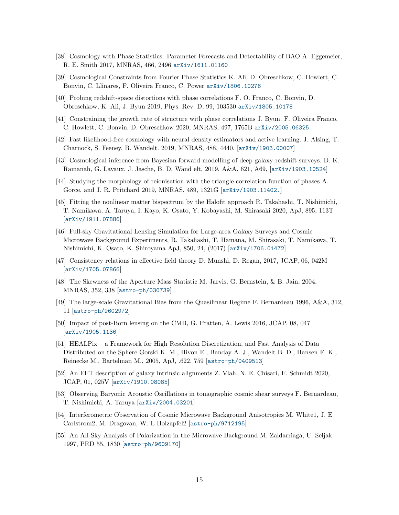- <span id="page-15-0"></span>[38] Cosmology with Phase Statistics: Parameter Forecasts and Detectability of BAO A. Eggemeier, R. E. Smith 2017, MNRAS, 466, 2496 [arXiv/1611.01160](https://arxiv.org/abs/1611.01160)
- <span id="page-15-1"></span>[39] Cosmological Constraints from Fourier Phase Statistics K. Ali, D. Obreschkow, C. Howlett, C. Bonvin, C. Llinares, F. Oliveira Franco, C. Power [arXiv/1806.10276](https://arxiv.org/abs/1806.10276)
- <span id="page-15-2"></span>[40] Probing redshift-space distortions with phase correlations F. O. Franco, C. Bonvin, D. Obreschkow, K. Ali, J. Byun 2019, Phys. Rev. D, 99, 103530 [arXiv/1805.10178](https://arxiv.org/abs/1805.10178)
- <span id="page-15-3"></span>[41] Constraining the growth rate of structure with phase correlations J. Byun, F. Oliveira Franco, C. Howlett, C. Bonvin, D. Obreschkow 2020, MNRAS, 497, 1765B [arXiv/2005.06325](https://arxiv.org/abs/2005.06325)
- <span id="page-15-4"></span>[42] Fast likelihood-free cosmology with neural density estimators and active learning. J. Alsing, T. Charnock, S. Feeney, B. Wandelt. 2019, MNRAS, 488, 4440. [[arXiv/1903.00007](https://arxiv.org/abs/1903.00007)]
- <span id="page-15-5"></span>[43] Cosmological inference from Bayesian forward modelling of deep galaxy redshift surveys. D. K. Ramanah, G. Lavaux, J. Jasche, B. D. Wand elt. 2019, A&A, 621, A69, [[arXiv/1903.10524](https://arxiv.org/abs/1903.10524)]
- <span id="page-15-6"></span>[44] Studying the morphology of reionisation with the triangle correlation function of phases A. Gorce, and J. R. Pritchard 2019, MNRAS, 489, 1321G [[arXiv/1903.11402.](https://arxiv.org/abs/1903.11402)]
- <span id="page-15-7"></span>[45] Fitting the nonlinear matter bispectrum by the Halofit approach R. Takahashi, T. Nishimichi, T. Namikawa, A. Taruya, I. Kayo, K. Osato, Y. Kobayashi, M. Shirasaki 2020, ApJ, 895, 113T [[arXiv/1911.07886]( https://arxiv.org/abs/1911.07886)]
- <span id="page-15-8"></span>[46] Full-sky Gravitational Lensing Simulation for Large-area Galaxy Surveys and Cosmic Microwave Background Experiments, R. Takahashi, T. Hamana, M. Shirasaki, T. Namikawa, T. Nishimichi, K. Osato, K. Shiroyama ApJ, 850, 24, (2017) [[arXiv/1706.01472](https://arxiv.org/abs/1706.01472)]
- <span id="page-15-9"></span>[47] Consistency relations in effective field theory D. Munshi, D. Regan, 2017, JCAP, 06, 042M [[arXiv/1705.07866](https://arxiv.org/abs/1705.07866)]
- <span id="page-15-11"></span>[48] The Skewness of the Aperture Mass Statistic M. Jarvis, G. Bernstein, & B. Jain, 2004, MNRAS, 352, 338 [[astro-ph/030739]( https://arxiv.org/abs/astro-ph/0307393)]
- <span id="page-15-10"></span>[49] The large-scale Gravitational Bias from the Quasilinear Regime F. Bernardeau 1996, A&A, 312, 11 [[astro-ph/9602972](https://arxiv.org/abs/astro-ph/9602072)]
- <span id="page-15-12"></span>[50] Impact of post-Born lensing on the CMB, G. Pratten, A. Lewis 2016, JCAP, 08, 047 [[arXiv/1905.1136](https://arxiv.org/abs/1605.05662)]
- <span id="page-15-13"></span>[51] HEALPix – a Framework for High Resolution Discretization, and Fast Analysis of Data Distributed on the Sphere Gorski K. M., Hivon E., Banday A. J., Wandelt B. D., Hansen F. K., Reinecke M., Bartelman M., 2005, ApJ, .622, 759 [[astro-ph/0409513](https://arxiv.org/abs/astro-ph/0409513)]
- <span id="page-15-14"></span>[52] An EFT description of galaxy intrinsic alignments Z. Vlah, N. E. Chisari, F. Schmidt 2020, JCAP, 01, 025V [[arXiv/1910.08085](https://arxiv.org/abs/1910.08085)]
- <span id="page-15-15"></span>[53] Observing Baryonic Acoustic Oscillations in tomographic cosmic shear surveys F. Bernardeau, T. Nishimichi, A. Taruya [[arXiv/2004.03201](https://arxiv.org/abs/2004.03201)]
- <span id="page-15-16"></span>[54] Interferometric Observation of Cosmic Microwave Background Anisotropies M. White1, J. E Carlstrom2, M. Dragovan, W. L Holzapfel2 [[astro-ph/9712195](https://arxiv.org/pdf/astro-ph/9712195.pdf)]
- [55] An All-Sky Analysis of Polarization in the Microwave Background M. Zaldarriaga, U. Seljak 1997, PRD 55, 1830 [[astro-ph/9609170](https://arxiv.org/abs/astro-ph/9609170)]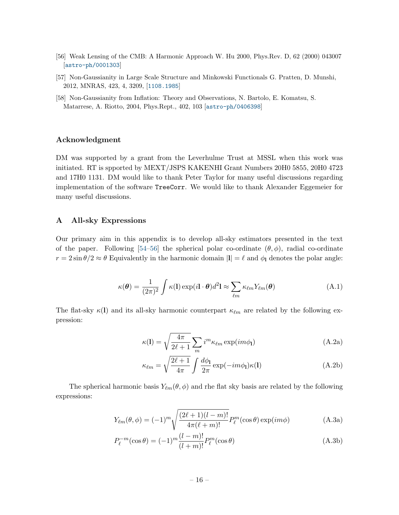- <span id="page-16-1"></span>[56] Weak Lensing of the CMB: A Harmonic Approach W. Hu 2000, Phys.Rev. D, 62 (2000) 043007 [[astro-ph/0001303](https://arxiv.org/abs/astro-ph/0001303)]
- <span id="page-16-4"></span>[57] Non-Gaussianity in Large Scale Structure and Minkowski Functionals G. Pratten, D. Munshi, 2012, MNRAS, 423, 4, 3209, [[1108.1985](https://arxiv.org/abs/1108.1985)]
- <span id="page-16-3"></span>[58] Non-Gaussianity from Inflation: Theory and Observations, N. Bartolo, E. Komatsu, S. Matarrese, A. Riotto, 2004, Phys.Rept., 402, 103 [[astro-ph/0406398](https://lanl.arxiv.org/pdf/astro-ph/0406398)]

#### Acknowledgment

DM was supported by a grant from the Leverhulme Trust at MSSL when this work was initiated. RT is spported by MEXT/JSPS KAKENHI Grant Numbers 20H0 5855, 20H0 4723 and 17H0 1131. DM would like to thank Peter Taylor for many useful discussions regarding implementation of the software TreeCorr. We would like to thank Alexander Eggemeier for many useful discussions.

### <span id="page-16-0"></span>A All-sky Expressions

Our primary aim in this appendix is to develop all-sky estimators presented in the text of the paper. Following [\[54](#page-15-16)[–56\]](#page-16-1) the spherical polar co-ordinate  $(\theta, \phi)$ , radial co-ordinate  $r = 2 \sin \theta / 2 \approx \theta$  Equivalently in the harmonic domain  $|l| = \ell$  and  $\phi_l$  denotes the polar angle:

$$
\kappa(\boldsymbol{\theta}) = \frac{1}{(2\pi)^2} \int \kappa(\mathbf{l}) \exp(i\mathbf{l} \cdot \boldsymbol{\theta}) d^2 \mathbf{l} \approx \sum_{\ell m} \kappa_{\ell m} Y_{\ell m}(\boldsymbol{\theta})
$$
(A.1)

The flat-sky  $\kappa(1)$  and its all-sky harmonic counterpart  $\kappa_{\ell m}$  are related by the following expression:

$$
\kappa(\mathbf{l}) = \sqrt{\frac{4\pi}{2\ell+1}} \sum_{m} i^{m} \kappa_{\ell m} \exp(im\phi_{\mathbf{l}})
$$
 (A.2a)

$$
\kappa_{\ell m} = \sqrt{\frac{2\ell+1}{4\pi}} \int \frac{d\phi_1}{2\pi} \exp(-im\phi_1)\kappa(l) \tag{A.2b}
$$

The spherical harmonic basis  $Y_{\ell m}(\theta, \phi)$  and rhe flat sky basis are related by the following expressions:

<span id="page-16-2"></span>
$$
Y_{\ell m}(\theta,\phi) = (-1)^m \sqrt{\frac{(2\ell+1)(l-m)!}{4\pi(\ell+m)!}} P_{\ell}^m(\cos\theta) \exp(im\phi)
$$
 (A.3a)

$$
P_{\ell}^{-m}(\cos \theta) = (-1)^{m} \frac{(l-m)!}{(l+m)!} P_{\ell}^{m}(\cos \theta)
$$
 (A.3b)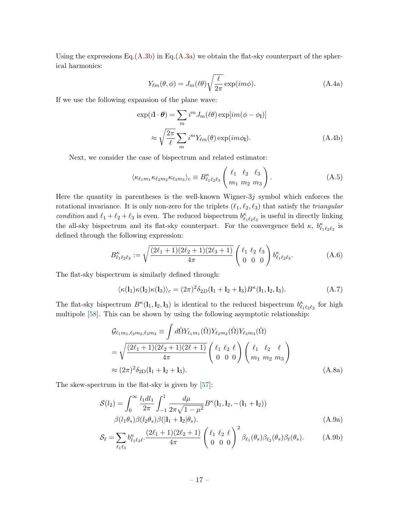Using the expressions Eq.[\(A.3b\)](#page-16-2) in Eq.[\(A.3a\)](#page-16-2) we obtain the flat-sky counterpart of the spherical harmonics:

$$
Y_{\ell m}(\theta,\phi) = J_m(\ell \theta) \sqrt{\frac{\ell}{2\pi}} \exp(im\phi).
$$
 (A.4a)

If we use the following expansion of the plane wave:

$$
\exp(i\mathbf{l} \cdot \boldsymbol{\theta}) = \sum_{m} i^{m} J_{m}(\ell \theta) \exp(im(\phi - \phi_{\mathbf{l}})]
$$

$$
\approx \sqrt{\frac{2\pi}{\ell}} \sum_{m} i^{m} Y_{\ell m}(\theta) \exp(im\phi_{\mathbf{l}}).
$$
(A.4b)

Next, we consider the case of bispectrum and related estimator:

$$
\langle \kappa_{\ell_1 m_1} \kappa_{\ell_2 m_2} \kappa_{\ell_3 m_3} \rangle_c \equiv B^{\kappa}_{\ell_1 \ell_2 \ell_3} \begin{pmatrix} \ell_1 & \ell_2 & \ell_3 \\ m_1 & m_2 & m_3 \end{pmatrix} . \tag{A.5}
$$

Here the quantity in parentheses is the well-known Wigner- $3j$  symbol which enforces the rotational invariance. It is only non-zero for the triplets  $(\ell_1, \ell_2, \ell_3)$  that satisfy the *triangular* condition and  $\ell_1 + \ell_2 + \ell_3$  is even. The reduced bispectrum  $b_{\ell_1 \ell_2 \ell_3}^{\kappa}$  is useful in directly linking the all-sky bispectrum and its flat-sky counterpart. For the convergence field  $\kappa$ ,  $b_{\ell_1\ell_2\ell_3}^{\kappa}$  is defined through the following expression:

$$
B_{\ell_1\ell_2\ell_3}^{\kappa} := \sqrt{\frac{(2\ell_1 + 1)(2\ell_2 + 1)(2\ell_3 + 1)}{4\pi}} \begin{pmatrix} \ell_1 & \ell_2 & \ell_3 \\ 0 & 0 & 0 \end{pmatrix} b_{\ell_1\ell_2\ell_3}^{\kappa}.
$$
 (A.6)

The flat-sky bispectrum is similarly defined through:

$$
\langle \kappa(\mathbf{l}_1) \kappa(\mathbf{l}_2) \kappa(\mathbf{l}_3) \rangle_c = (2\pi)^2 \delta_{2D} (\mathbf{l}_1 + \mathbf{l}_2 + \mathbf{l}_3) B^{\kappa}(\mathbf{l}_1, \mathbf{l}_2, \mathbf{l}_3). \tag{A.7}
$$

The flat-sky bispectrum  $B^{\kappa}(l_1, l_2, l_3)$  is identical to the reduced bispectrum  $b_{\ell_1 \ell_2 \ell_2}^{\kappa}$  for high multipole [\[58\]](#page-16-3). This can be shown by using the following asymptotic relationship:

$$
\mathcal{G}_{\ell_1 m_1, \ell_2 m_2, \ell_3 m_3} \equiv \int d\hat{\Omega} Y_{\ell_1 m_1}(\hat{\Omega}) Y_{\ell_2 m_2}(\hat{\Omega}) Y_{\ell_3 m_3}(\hat{\Omega})
$$
\n
$$
= \sqrt{\frac{(2\ell_1 + 1)(2\ell_2 + 1)(2\ell + 1)}{4\pi}} \begin{pmatrix} \ell_1 & \ell_2 & \ell \\ 0 & 0 & 0 \end{pmatrix} \begin{pmatrix} \ell_1 & \ell_2 & \ell \\ m_1 & m_2 & m_3 \end{pmatrix}
$$
\n
$$
\approx (2\pi)^2 \delta_{2D} (l_1 + l_2 + l_3).
$$
\n(A.8a)

The skew-spectrum in the flat-sky is given by [\[57\]](#page-16-4):

<span id="page-17-0"></span>
$$
S(l_2) = \int_0^\infty \frac{l_1 dl_1}{2\pi} \int_{-1}^1 \frac{d\mu}{2\pi\sqrt{1-\mu^2}} B^{\kappa}(\mathbf{l}_1, \mathbf{l}_2, -(\mathbf{l}_1 + \mathbf{l}_2))
$$
  
 
$$
\beta(l_1 \theta_s) \beta(l_2 \theta_s) \beta(|\mathbf{l}_1 + \mathbf{l}_2 | \theta_s).
$$
 (A.9a)

$$
S_{\ell} = \sum_{\ell_1 \ell_3} b_{\ell_1 \ell_2 \ell}^{\kappa} \cdot \frac{(2\ell_1 + 1)(2\ell_2 + 1)}{4\pi} \left(\begin{array}{cc} \ell_1 & \ell_2 & \ell \\ 0 & 0 & 0 \end{array}\right)^2 \beta_{\ell_1}(\theta_s) \beta_{\ell_2}(\theta_s) \beta_{\ell}(\theta_s). \tag{A.9b}
$$